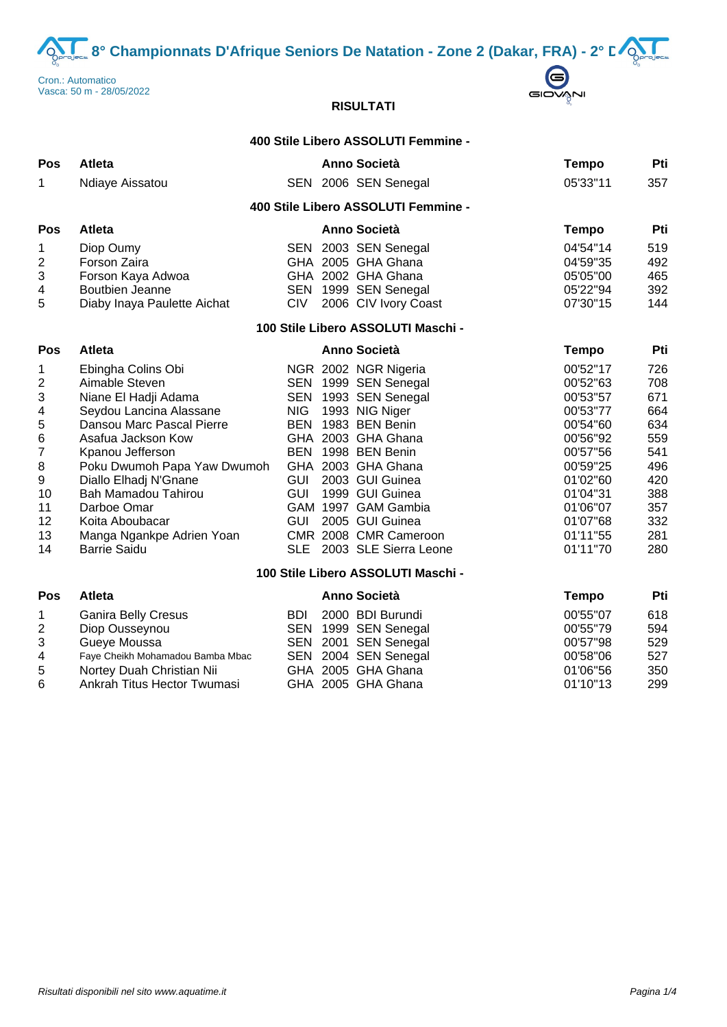**8° Championnats D'Afrique Seniors De Natation - Zone 2 (Dakar, FRA) - 2° D** $\bigodot$ **<br>
matico<br>
matico served and the serve of the serve of the served and the served and the served of the served of the served and the served and** 





# **RISULTATI**

## **400 Stile Libero ASSOLUTI Femmine -**

| Pos                                                                                                                                | <b>Atleta</b>                                                                                                                                                                                                                                                                                                                       |                                                                                  |  | Anno Società                                                                                                                                                                                                                                                                                             | <b>Tempo</b>                                                                                                                                                         | Pti                                                                                            |  |  |
|------------------------------------------------------------------------------------------------------------------------------------|-------------------------------------------------------------------------------------------------------------------------------------------------------------------------------------------------------------------------------------------------------------------------------------------------------------------------------------|----------------------------------------------------------------------------------|--|----------------------------------------------------------------------------------------------------------------------------------------------------------------------------------------------------------------------------------------------------------------------------------------------------------|----------------------------------------------------------------------------------------------------------------------------------------------------------------------|------------------------------------------------------------------------------------------------|--|--|
| 1                                                                                                                                  | Ndiaye Aissatou                                                                                                                                                                                                                                                                                                                     |                                                                                  |  | SEN 2006 SEN Senegal                                                                                                                                                                                                                                                                                     | 05'33"11                                                                                                                                                             | 357                                                                                            |  |  |
|                                                                                                                                    |                                                                                                                                                                                                                                                                                                                                     |                                                                                  |  | 400 Stile Libero ASSOLUTI Femmine -                                                                                                                                                                                                                                                                      |                                                                                                                                                                      |                                                                                                |  |  |
| Pos                                                                                                                                | Atleta                                                                                                                                                                                                                                                                                                                              |                                                                                  |  | <b>Anno Società</b>                                                                                                                                                                                                                                                                                      | <b>Tempo</b>                                                                                                                                                         | Pti                                                                                            |  |  |
| 1<br>$\overline{\mathbf{c}}$<br>$\ensuremath{\mathsf{3}}$<br>4<br>5                                                                | Diop Oumy<br>Forson Zaira<br>Forson Kaya Adwoa<br><b>Boutbien Jeanne</b><br>Diaby Inaya Paulette Aichat                                                                                                                                                                                                                             | SEN<br><b>CIV</b>                                                                |  | 2003 SEN Senegal<br>GHA 2005 GHA Ghana<br>GHA 2002 GHA Ghana<br>SEN 1999 SEN Senegal<br>2006 CIV Ivory Coast                                                                                                                                                                                             | 04'54"14<br>04'59"35<br>05'05"00<br>05'22"94<br>07'30"15                                                                                                             | 519<br>492<br>465<br>392<br>144                                                                |  |  |
| 100 Stile Libero ASSOLUTI Maschi -                                                                                                 |                                                                                                                                                                                                                                                                                                                                     |                                                                                  |  |                                                                                                                                                                                                                                                                                                          |                                                                                                                                                                      |                                                                                                |  |  |
| Pos                                                                                                                                | <b>Atleta</b>                                                                                                                                                                                                                                                                                                                       |                                                                                  |  | Anno Società                                                                                                                                                                                                                                                                                             | <b>Tempo</b>                                                                                                                                                         | Pti                                                                                            |  |  |
| 1<br>$\boldsymbol{2}$<br>$\ensuremath{\mathsf{3}}$<br>4<br>$\mathbf 5$<br>$\,6$<br>7<br>$\bf 8$<br>9<br>10<br>11<br>12<br>13<br>14 | Ebingha Colins Obi<br>Aimable Steven<br>Niane El Hadji Adama<br>Seydou Lancina Alassane<br>Dansou Marc Pascal Pierre<br>Asafua Jackson Kow<br>Kpanou Jefferson<br>Poku Dwumoh Papa Yaw Dwumoh<br>Diallo Elhadj N'Gnane<br>Bah Mamadou Tahirou<br>Darboe Omar<br>Koita Aboubacar<br>Manga Ngankpe Adrien Yoan<br><b>Barrie Saidu</b> | <b>SEN</b><br><b>NIG</b><br><b>BEN</b><br><b>GUI</b><br><b>GUI</b><br>GUI<br>SLE |  | NGR 2002 NGR Nigeria<br>SEN 1999 SEN Senegal<br>1993 SEN Senegal<br>1993 NIG Niger<br>1983 BEN Benin<br>GHA 2003 GHA Ghana<br>BEN 1998 BEN Benin<br>GHA 2003 GHA Ghana<br>2003 GUI Guinea<br>1999 GUI Guinea<br>GAM 1997 GAM Gambia<br>2005 GUI Guinea<br>CMR 2008 CMR Cameroon<br>2003 SLE Sierra Leone | 00'52"17<br>00'52"63<br>00'53"57<br>00'53"77<br>00'54"60<br>00'56"92<br>00'57"56<br>00'59"25<br>01'02"60<br>01'04"31<br>01'06"07<br>01'07"68<br>01'11"55<br>01'11"70 | 726<br>708<br>671<br>664<br>634<br>559<br>541<br>496<br>420<br>388<br>357<br>332<br>281<br>280 |  |  |
|                                                                                                                                    |                                                                                                                                                                                                                                                                                                                                     |                                                                                  |  | 100 Stile Libero ASSOLUTI Maschi -                                                                                                                                                                                                                                                                       |                                                                                                                                                                      |                                                                                                |  |  |
| Pos                                                                                                                                | Atleta                                                                                                                                                                                                                                                                                                                              |                                                                                  |  | <b>Anno Società</b>                                                                                                                                                                                                                                                                                      | <b>Tempo</b>                                                                                                                                                         | Pti                                                                                            |  |  |
| 1                                                                                                                                  | <b>Ganira Belly Cresus</b>                                                                                                                                                                                                                                                                                                          | <b>BDI</b>                                                                       |  | 2000 BDI Burundi                                                                                                                                                                                                                                                                                         | 00'55"07                                                                                                                                                             | 618                                                                                            |  |  |

|          | 594      |
|----------|----------|
| 00'57"98 | 529      |
| 00'58"06 | 527      |
| 01'06"56 | 350      |
| 01'10"13 | 299      |
|          | 00'55"79 |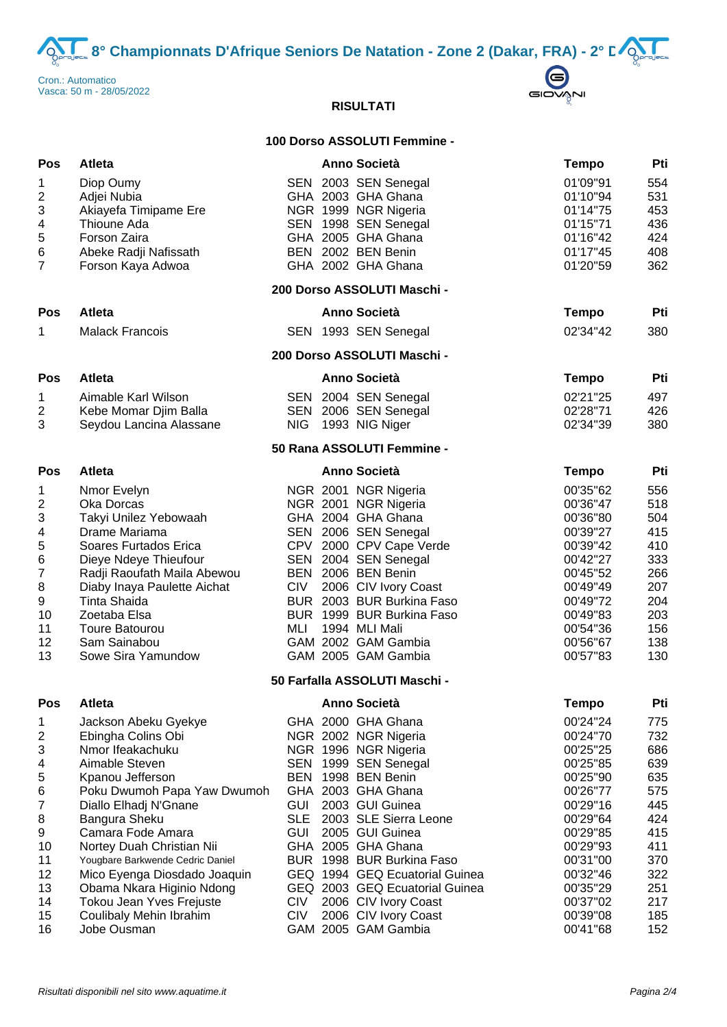**8° Championnats D'Afrique Seniors De Natation - Zone 2 (Dakar, FRA) - 2° D** $\sum_{n=28/05/2022}^{\text{matico}}$ 



# **RISULTATI**

## **100 Dorso ASSOLUTI Femmine -**

| Pos                                                                                                 | Atleta                                                                                                                                                                                                                                                                                                                                                                                  |                                                                    | <b>Anno Società</b>                                                                                                                                                                                                                                                                                                                                                          | <b>Tempo</b>                                                                                                                                                                     | Pti                                                                                                   |
|-----------------------------------------------------------------------------------------------------|-----------------------------------------------------------------------------------------------------------------------------------------------------------------------------------------------------------------------------------------------------------------------------------------------------------------------------------------------------------------------------------------|--------------------------------------------------------------------|------------------------------------------------------------------------------------------------------------------------------------------------------------------------------------------------------------------------------------------------------------------------------------------------------------------------------------------------------------------------------|----------------------------------------------------------------------------------------------------------------------------------------------------------------------------------|-------------------------------------------------------------------------------------------------------|
| 1<br>$\boldsymbol{2}$<br>$\ensuremath{\mathsf{3}}$<br>4<br>5<br>6<br>$\overline{7}$                 | Diop Oumy<br>Adjei Nubia<br>Akiayefa Timipame Ere<br>Thioune Ada<br>Forson Zaira<br>Abeke Radji Nafissath<br>Forson Kaya Adwoa                                                                                                                                                                                                                                                          |                                                                    | SEN 2003 SEN Senegal<br>GHA 2003 GHA Ghana<br>NGR 1999 NGR Nigeria<br>SEN 1998 SEN Senegal<br>GHA 2005 GHA Ghana<br>BEN 2002 BEN Benin<br>GHA 2002 GHA Ghana                                                                                                                                                                                                                 | 01'09"91<br>01'10"94<br>01'14"75<br>01'15"71<br>01'16"42<br>01'17"45<br>01'20"59                                                                                                 | 554<br>531<br>453<br>436<br>424<br>408<br>362                                                         |
|                                                                                                     |                                                                                                                                                                                                                                                                                                                                                                                         |                                                                    | 200 Dorso ASSOLUTI Maschi -                                                                                                                                                                                                                                                                                                                                                  |                                                                                                                                                                                  |                                                                                                       |
| Pos                                                                                                 | Atleta                                                                                                                                                                                                                                                                                                                                                                                  |                                                                    | <b>Anno Società</b>                                                                                                                                                                                                                                                                                                                                                          | <b>Tempo</b>                                                                                                                                                                     | Pti                                                                                                   |
| 1                                                                                                   | <b>Malack Francois</b>                                                                                                                                                                                                                                                                                                                                                                  |                                                                    | SEN 1993 SEN Senegal                                                                                                                                                                                                                                                                                                                                                         | 02'34"42                                                                                                                                                                         | 380                                                                                                   |
|                                                                                                     |                                                                                                                                                                                                                                                                                                                                                                                         |                                                                    | 200 Dorso ASSOLUTI Maschi -                                                                                                                                                                                                                                                                                                                                                  |                                                                                                                                                                                  |                                                                                                       |
| Pos                                                                                                 | Atleta                                                                                                                                                                                                                                                                                                                                                                                  |                                                                    | <b>Anno Società</b>                                                                                                                                                                                                                                                                                                                                                          | <b>Tempo</b>                                                                                                                                                                     | Pti                                                                                                   |
| 1<br>$\boldsymbol{2}$<br>3                                                                          | Aimable Karl Wilson<br>Kebe Momar Djim Balla<br>Seydou Lancina Alassane                                                                                                                                                                                                                                                                                                                 | <b>NIG</b>                                                         | SEN 2004 SEN Senegal<br>SEN 2006 SEN Senegal<br>1993 NIG Niger                                                                                                                                                                                                                                                                                                               | 02'21"25<br>02'28"71<br>02'34"39                                                                                                                                                 | 497<br>426<br>380                                                                                     |
|                                                                                                     |                                                                                                                                                                                                                                                                                                                                                                                         |                                                                    | 50 Rana ASSOLUTI Femmine -                                                                                                                                                                                                                                                                                                                                                   |                                                                                                                                                                                  |                                                                                                       |
| <b>Pos</b>                                                                                          | <b>Atleta</b>                                                                                                                                                                                                                                                                                                                                                                           |                                                                    | Anno Società                                                                                                                                                                                                                                                                                                                                                                 | <b>Tempo</b>                                                                                                                                                                     | Pti                                                                                                   |
| 1<br>$\boldsymbol{2}$<br>3<br>4<br>5<br>6<br>$\boldsymbol{7}$<br>8<br>9<br>10<br>11<br>12<br>13     | Nmor Evelyn<br>Oka Dorcas<br>Takyi Unilez Yebowaah<br>Drame Mariama<br>Soares Furtados Erica<br>Dieye Ndeye Thieufour<br>Radji Raoufath Maila Abewou<br>Diaby Inaya Paulette Aichat<br><b>Tinta Shaida</b><br>Zoetaba Elsa<br><b>Toure Batourou</b><br>Sam Sainabou<br>Sowe Sira Yamundow                                                                                               | <b>CIV</b><br>MLI                                                  | NGR 2001 NGR Nigeria<br>NGR 2001 NGR Nigeria<br>GHA 2004 GHA Ghana<br>SEN 2006 SEN Senegal<br>CPV 2000 CPV Cape Verde<br>SEN 2004 SEN Senegal<br>BEN 2006 BEN Benin<br>2006 CIV Ivory Coast<br>BUR 2003 BUR Burkina Faso<br>BUR 1999 BUR Burkina Faso<br>1994 MLI Mali<br>GAM 2002 GAM Gambia<br>GAM 2005 GAM Gambia<br>50 Farfalla ASSOLUTI Maschi -                        | 00'35"62<br>00'36"47<br>00'36"80<br>00'39"27<br>00'39"42<br>00'42"27<br>00'45"52<br>00'49"49<br>00'49"72<br>00'49"83<br>00'54"36<br>00'56"67<br>00'57"83                         | 556<br>518<br>504<br>415<br>410<br>333<br>266<br>207<br>204<br>203<br>156<br>138<br>130               |
| Pos                                                                                                 | <b>Atleta</b>                                                                                                                                                                                                                                                                                                                                                                           |                                                                    | Anno Società                                                                                                                                                                                                                                                                                                                                                                 | Tempo                                                                                                                                                                            | Pti                                                                                                   |
| 1<br>$\overline{\mathbf{c}}$<br>3<br>4<br>5<br>6<br>7<br>8<br>9<br>10<br>11<br>12<br>13<br>14<br>15 | Jackson Abeku Gyekye<br>Ebingha Colins Obi<br>Nmor Ifeakachuku<br>Aimable Steven<br>Kpanou Jefferson<br>Poku Dwumoh Papa Yaw Dwumoh<br>Diallo Elhadj N'Gnane<br>Bangura Sheku<br>Camara Fode Amara<br>Nortey Duah Christian Nii<br>Yougbare Barkwende Cedric Daniel<br>Mico Eyenga Diosdado Joaquin<br>Obama Nkara Higinio Ndong<br>Tokou Jean Yves Frejuste<br>Coulibaly Mehin Ibrahim | <b>GUI</b><br><b>SLE</b><br><b>GUI</b><br><b>CIV</b><br><b>CIV</b> | GHA 2000 GHA Ghana<br>NGR 2002 NGR Nigeria<br>NGR 1996 NGR Nigeria<br>SEN 1999 SEN Senegal<br>BEN 1998 BEN Benin<br>GHA 2003 GHA Ghana<br>2003 GUI Guinea<br>2003 SLE Sierra Leone<br>2005 GUI Guinea<br>GHA 2005 GHA Ghana<br>BUR 1998 BUR Burkina Faso<br>GEQ 1994 GEQ Ecuatorial Guinea<br>GEQ 2003 GEQ Ecuatorial Guinea<br>2006 CIV Ivory Coast<br>2006 CIV Ivory Coast | 00'24"24<br>00'24"70<br>00'25"25<br>00'25"85<br>00'25"90<br>00'26"77<br>00'29"16<br>00'29"64<br>00'29"85<br>00'29"93<br>00'31"00<br>00'32"46<br>00'35"29<br>00'37"02<br>00'39"08 | 775<br>732<br>686<br>639<br>635<br>575<br>445<br>424<br>415<br>411<br>370<br>322<br>251<br>217<br>185 |
| 16                                                                                                  | Jobe Ousman                                                                                                                                                                                                                                                                                                                                                                             |                                                                    | GAM 2005 GAM Gambia                                                                                                                                                                                                                                                                                                                                                          | 00'41"68                                                                                                                                                                         | 152                                                                                                   |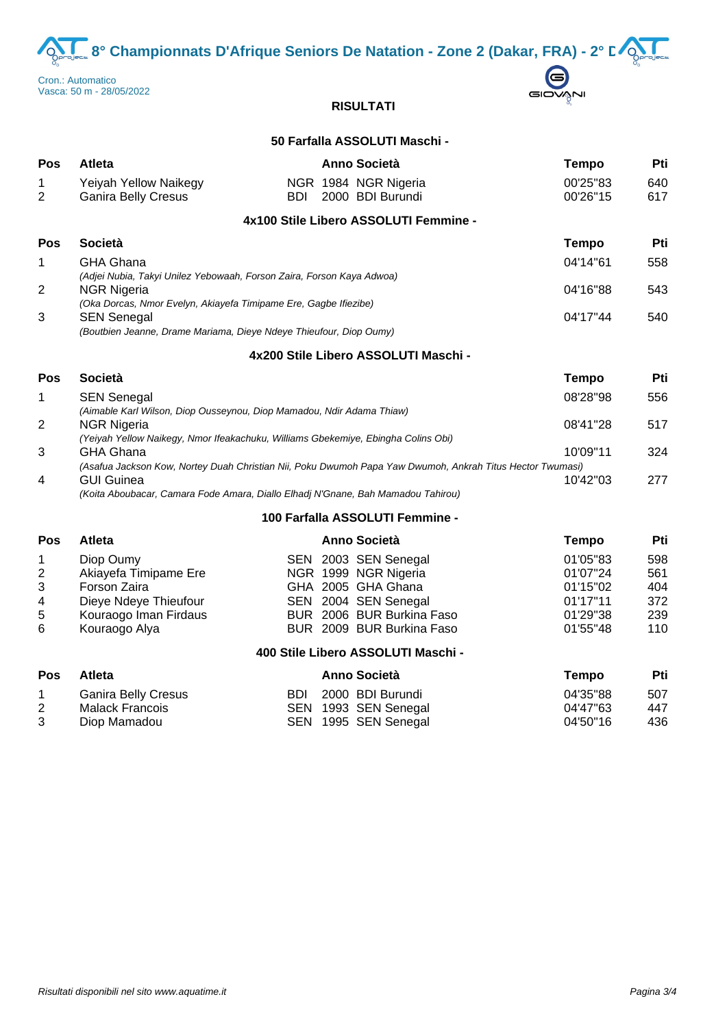**8° Championnats D'Afrique Seniors De Natation - Zone 2 (Dakar, FRA) - 2° DOO** 





# **RISULTATI**

# **50 Farfalla ASSOLUTI Maschi -**

| <b>Pos</b> | <b>Atleta</b>                                                                          | Anno Società                                                          | <b>Tempo</b>         | Pti        |
|------------|----------------------------------------------------------------------------------------|-----------------------------------------------------------------------|----------------------|------------|
| 2          | <b>Yeiyah Yellow Naikegy</b><br><b>Ganira Belly Cresus</b>                             | NGR 1984 NGR Nigeria<br>2000 BDI Burundi<br>BDI                       | 00'25"83<br>00'26"15 | 640<br>617 |
|            |                                                                                        | 4x100 Stile Libero ASSOLUTI Femmine -                                 |                      |            |
| Pos        | <b>Società</b>                                                                         |                                                                       | <b>Tempo</b>         | Pti        |
|            | <b>GHA Ghana</b>                                                                       |                                                                       | 04'14"61             | 558        |
|            | (Adjei Nubia, Takyi Unilez Yebowaah, Forson Zaira, Forson Kaya Adwoa)                  |                                                                       |                      |            |
| 2          | <b>NGR Nigeria</b><br>(Oka Dorcas, Nmor Evelyn, Akiayefa Timipame Ere, Gagbe Ifiezibe) |                                                                       | 04'16"88             | 543        |
| 3          | <b>SEN Senegal</b>                                                                     |                                                                       | 04'17"44             | 540        |
|            | (Boutbien Jeanne, Drame Mariama, Dieye Ndeye Thieufour, Diop Oumy)                     |                                                                       |                      |            |
|            |                                                                                        | 4x200 Stile Libero ASSOLUTI Maschi -                                  |                      |            |
| <b>Pos</b> | Società                                                                                |                                                                       | Tempo                | Pti        |
| 1          | <b>SEN Senegal</b>                                                                     | (Aimable Karl Wilson, Diop Ousseynou, Diop Mamadou, Ndir Adama Thiaw) | 08'28"98             | 556        |
|            |                                                                                        |                                                                       |                      |            |

| 2              | NGR Nigeria                                                                                               | 08'41"28 | 517 |
|----------------|-----------------------------------------------------------------------------------------------------------|----------|-----|
|                | (Yeiyah Yellow Naikegy, Nmor Ifeakachuku, Williams Gbekemiye, Ebingha Colins Obi)                         |          |     |
| 3              | GHA Ghana                                                                                                 | 10'09"11 | 324 |
|                | (Asafua Jackson Kow, Nortey Duah Christian Nii, Poku Dwumoh Papa Yaw Dwumoh, Ankrah Titus Hector Twumasi) |          |     |
| $\overline{4}$ | <b>GUI Guinea</b>                                                                                         | 10'42"03 | 277 |
|                | (Koita Aboubacar, Camara Fode Amara, Diallo Elhadj N'Gnane, Bah Mamadou Tahirou)                          |          |     |

### **100 Farfalla ASSOLUTI Femmine -**

| Pos         | Atleta                |  | Anno Società              | Tempo    | Pti |
|-------------|-----------------------|--|---------------------------|----------|-----|
|             | Diop Oumy             |  | SEN 2003 SEN Senegal      | 01'05"83 | 598 |
| $2^{\circ}$ | Akiayefa Timipame Ere |  | NGR 1999 NGR Nigeria      | 01'07"24 | 561 |
| 3           | Forson Zaira          |  | GHA 2005 GHA Ghana        | 01'15"02 | 404 |
| 4           | Dieye Ndeye Thieufour |  | SEN 2004 SEN Senegal      | 01'17"11 | 372 |
| 5           | Kouraogo Iman Firdaus |  | BUR 2006 BUR Burkina Faso | 01'29"38 | 239 |
| 6           | Kouraogo Alya         |  | BUR 2009 BUR Burkina Faso | 01'55"48 | 110 |

## **400 Stile Libero ASSOLUTI Maschi -**

| Pos | <b>Atleta</b>              | <b>Anno Società</b>  | Tempo    | Pti |
|-----|----------------------------|----------------------|----------|-----|
|     | <b>Ganira Belly Cresus</b> | BDI 2000 BDI Burundi | 04'35"88 | 507 |
|     | Malack Francois            | SEN 1993 SEN Senegal | 04'47"63 | 447 |
|     | Diop Mamadou               | SEN 1995 SEN Senegal | 04'50"16 | 436 |